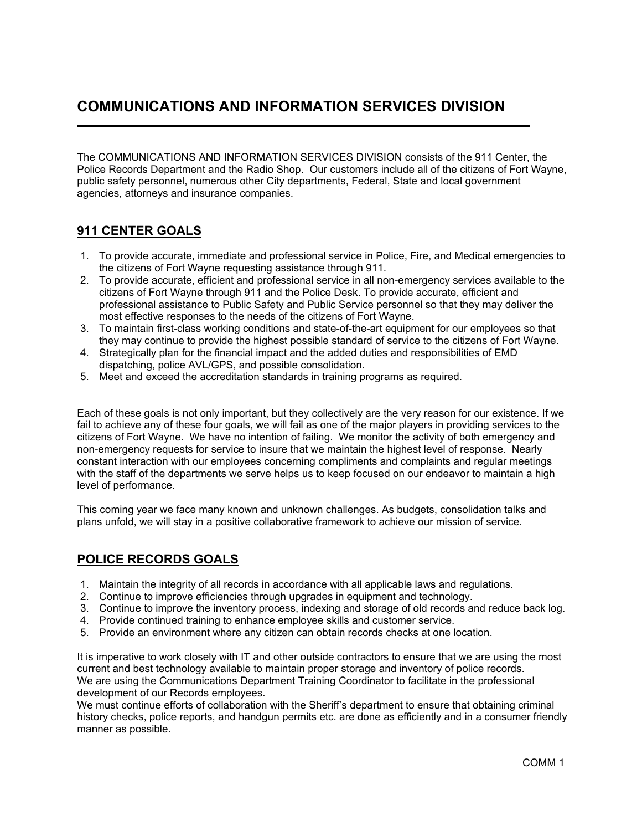## COMMUNICATIONS AND INFORMATION SERVICES DIVISION

The COMMUNICATIONS AND INFORMATION SERVICES DIVISION consists of the 911 Center, the Police Records Department and the Radio Shop. Our customers include all of the citizens of Fort Wayne, public safety personnel, numerous other City departments, Federal, State and local government agencies, attorneys and insurance companies.

#### 911 CENTER GOALS

- 1. To provide accurate, immediate and professional service in Police, Fire, and Medical emergencies to the citizens of Fort Wayne requesting assistance through 911.
- 2. To provide accurate, efficient and professional service in all non-emergency services available to the citizens of Fort Wayne through 911 and the Police Desk. To provide accurate, efficient and professional assistance to Public Safety and Public Service personnel so that they may deliver the most effective responses to the needs of the citizens of Fort Wayne.
- 3. To maintain first-class working conditions and state-of-the-art equipment for our employees so that they may continue to provide the highest possible standard of service to the citizens of Fort Wayne.
- 4. Strategically plan for the financial impact and the added duties and responsibilities of EMD dispatching, police AVL/GPS, and possible consolidation.
- 5. Meet and exceed the accreditation standards in training programs as required.

Each of these goals is not only important, but they collectively are the very reason for our existence. If we fail to achieve any of these four goals, we will fail as one of the major players in providing services to the citizens of Fort Wayne. We have no intention of failing. We monitor the activity of both emergency and non-emergency requests for service to insure that we maintain the highest level of response. Nearly constant interaction with our employees concerning compliments and complaints and regular meetings with the staff of the departments we serve helps us to keep focused on our endeavor to maintain a high level of performance.

This coming year we face many known and unknown challenges. As budgets, consolidation talks and plans unfold, we will stay in a positive collaborative framework to achieve our mission of service.

#### POLICE RECORDS GOALS

- 1. Maintain the integrity of all records in accordance with all applicable laws and regulations.
- 2. Continue to improve efficiencies through upgrades in equipment and technology.
- 3. Continue to improve the inventory process, indexing and storage of old records and reduce back log.
- 4. Provide continued training to enhance employee skills and customer service.
- 5. Provide an environment where any citizen can obtain records checks at one location.

It is imperative to work closely with IT and other outside contractors to ensure that we are using the most current and best technology available to maintain proper storage and inventory of police records. We are using the Communications Department Training Coordinator to facilitate in the professional development of our Records employees.

We must continue efforts of collaboration with the Sheriff's department to ensure that obtaining criminal history checks, police reports, and handgun permits etc. are done as efficiently and in a consumer friendly manner as possible.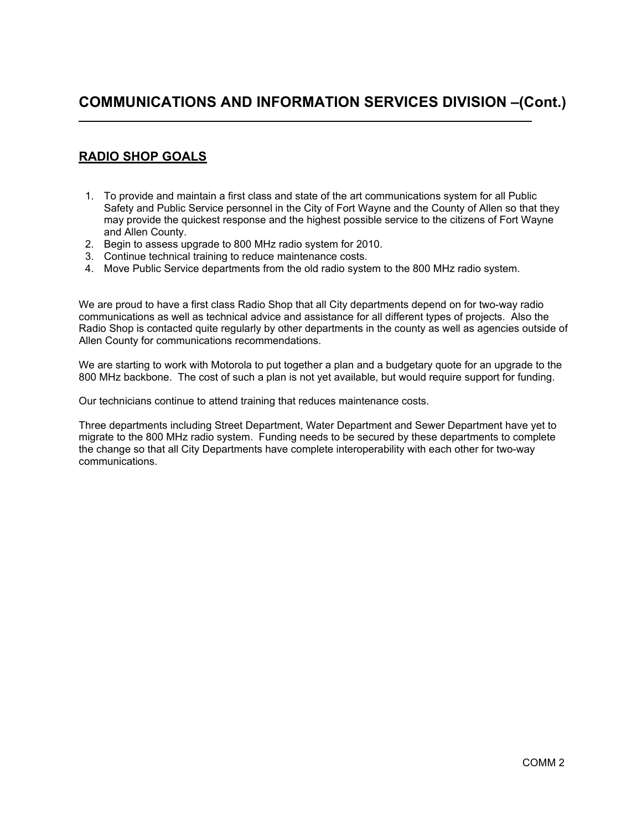#### RADIO SHOP GOALS

L

- 1. To provide and maintain a first class and state of the art communications system for all Public Safety and Public Service personnel in the City of Fort Wayne and the County of Allen so that they may provide the quickest response and the highest possible service to the citizens of Fort Wayne and Allen County.
- 2. Begin to assess upgrade to 800 MHz radio system for 2010.
- 3. Continue technical training to reduce maintenance costs.
- 4. Move Public Service departments from the old radio system to the 800 MHz radio system.

We are proud to have a first class Radio Shop that all City departments depend on for two-way radio communications as well as technical advice and assistance for all different types of projects. Also the Radio Shop is contacted quite regularly by other departments in the county as well as agencies outside of Allen County for communications recommendations.

We are starting to work with Motorola to put together a plan and a budgetary quote for an upgrade to the 800 MHz backbone. The cost of such a plan is not yet available, but would require support for funding.

Our technicians continue to attend training that reduces maintenance costs.

Three departments including Street Department, Water Department and Sewer Department have yet to migrate to the 800 MHz radio system. Funding needs to be secured by these departments to complete the change so that all City Departments have complete interoperability with each other for two-way communications.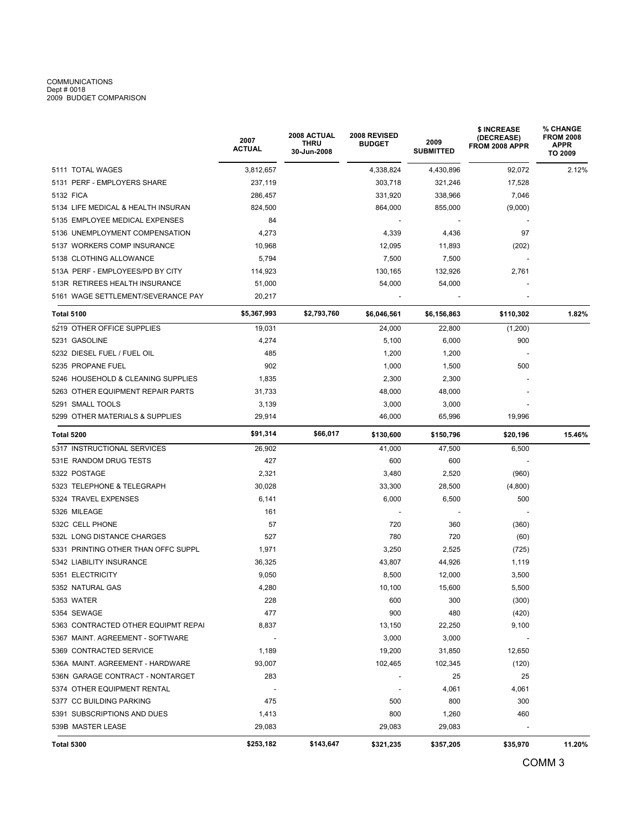## COMMUNICATIONS<br>Dept # 0018<br>2009 BUDGET COMPARISON

|                                     | 2007<br>ACTUAL | 2008 ACTUAL<br>THRU<br>30-Jun-2008 | 2008 REVISED<br><b>BUDGET</b> | 2009<br><b>SUBMITTED</b> | \$ INCREASE<br><b>(DECREASE)</b><br>FROM 2008 APPR | % CHANGE<br><b>FROM 2008</b><br><b>APPR</b><br>TO 2009 |  |  |
|-------------------------------------|----------------|------------------------------------|-------------------------------|--------------------------|----------------------------------------------------|--------------------------------------------------------|--|--|
| 5111 TOTAL WAGES                    | 3,812,657      |                                    | 4,338,824                     | 4,430,896                | 92,072                                             | 2.12%                                                  |  |  |
| 5131 PERF - EMPLOYERS SHARE         | 237,119        |                                    | 303,718                       | 321,246                  | 17,528                                             |                                                        |  |  |
| 5132 FICA                           | 286,457        |                                    | 331,920                       | 338,966                  | 7,046                                              |                                                        |  |  |
| 5134 LIFE MEDICAL & HEALTH INSURAN  | 824,500        |                                    | 864,000                       | 855,000                  | (9,000)                                            |                                                        |  |  |
| 5135 EMPLOYEE MEDICAL EXPENSES      | 84             |                                    |                               |                          |                                                    |                                                        |  |  |
| 5136 UNEMPLOYMENT COMPENSATION      | 4,273          |                                    | 4,339                         | 4,436                    | 97                                                 |                                                        |  |  |
| 5137 WORKERS COMP INSURANCE         | 10,968         |                                    | 12,095                        | 11,893                   | (202)                                              |                                                        |  |  |
| 5138 CLOTHING ALLOWANCE             | 5,794          |                                    | 7,500                         | 7,500                    |                                                    |                                                        |  |  |
| 513A PERF - EMPLOYEES/PD BY CITY    | 114,923        |                                    | 130,165                       | 132,926                  | 2,761                                              |                                                        |  |  |
| 513R RETIREES HEALTH INSURANCE      | 51,000         |                                    | 54,000                        | 54,000                   |                                                    |                                                        |  |  |
| 5161 WAGE SETTLEMENT/SEVERANCE PAY  | 20,217         |                                    |                               |                          |                                                    |                                                        |  |  |
| <b>Total 5100</b>                   | \$5,367,993    | \$2,793,760                        | \$6,046,561                   | \$6,156,863              | \$110,302                                          | 1.82%                                                  |  |  |
| 5219 OTHER OFFICE SUPPLIES          | 19,031         |                                    | 24,000                        | 22,800                   | (1,200)                                            |                                                        |  |  |
| 5231 GASOLINE                       | 4,274          |                                    | 5,100                         | 6,000                    | 900                                                |                                                        |  |  |
| 5232 DIESEL FUEL / FUEL OIL         | 485            |                                    | 1,200                         | 1,200                    |                                                    |                                                        |  |  |
| 5235 PROPANE FUEL                   | 902            |                                    | 1,000                         | 1,500                    | 500                                                |                                                        |  |  |
| 5246 HOUSEHOLD & CLEANING SUPPLIES  | 1,835          |                                    | 2,300                         | 2,300                    |                                                    |                                                        |  |  |
| 5263 OTHER EQUIPMENT REPAIR PARTS   | 31,733         |                                    | 48,000                        | 48,000                   |                                                    |                                                        |  |  |
| 5291 SMALL TOOLS                    | 3,139          |                                    | 3,000                         | 3,000                    |                                                    |                                                        |  |  |
| 5299 OTHER MATERIALS & SUPPLIES     | 29,914         |                                    | 46,000                        | 65,996                   | 19,996                                             |                                                        |  |  |
| Total 5200                          | \$91,314       | \$66,017                           | \$130,600                     | \$150,796                | \$20,196                                           | 15.46%                                                 |  |  |
| 5317 INSTRUCTIONAL SERVICES         | 26,902         |                                    | 41,000                        | 47,500                   | 6,500                                              |                                                        |  |  |
| 531E RANDOM DRUG TESTS              | 427            |                                    | 600                           | 600                      |                                                    |                                                        |  |  |
| 5322 POSTAGE                        | 2,321          |                                    | 3,480                         | 2,520                    | (960)                                              |                                                        |  |  |
| 5323 TELEPHONE & TELEGRAPH          | 30,028         |                                    | 33,300                        | 28,500                   | (4,800)                                            |                                                        |  |  |
| 5324 TRAVEL EXPENSES                | 6,141          |                                    | 6,000                         | 6,500                    | 500                                                |                                                        |  |  |
| 5326 MILEAGE                        | 161            |                                    |                               |                          |                                                    |                                                        |  |  |
| 532C CELL PHONE                     | 57             |                                    | 720                           | 360                      | (360)                                              |                                                        |  |  |
| 532L LONG DISTANCE CHARGES          | 527            |                                    | 780                           | 720                      | (60)                                               |                                                        |  |  |
| 5331 PRINTING OTHER THAN OFFC SUPPL | 1,971          |                                    | 3,250                         | 2,525                    | (725)                                              |                                                        |  |  |
| 5342 LIABILITY INSURANCE            | 36,325         |                                    | 43,807                        | 44,926                   | 1,119                                              |                                                        |  |  |
| 5351 ELECTRICITY                    | 9,050          |                                    | 8,500                         | 12,000                   | 3,500                                              |                                                        |  |  |
| 5352 NATURAL GAS                    | 4,280          |                                    | 10,100                        | 15,600                   | 5,500                                              |                                                        |  |  |
| 5353 WATER                          | 228            |                                    | 600                           | 300                      | (300)                                              |                                                        |  |  |
| 5354 SEWAGE                         | 477            |                                    | 900                           | 480                      | (420)                                              |                                                        |  |  |
| 5363 CONTRACTED OTHER EQUIPMT REPAI | 8,837          |                                    | 13,150                        | 22,250                   | 9,100                                              |                                                        |  |  |
| 5367 MAINT. AGREEMENT - SOFTWARE    |                |                                    | 3,000                         | 3,000                    |                                                    |                                                        |  |  |
| 5369 CONTRACTED SERVICE             | 1,189          |                                    | 19,200                        | 31,850                   | 12,650                                             |                                                        |  |  |
| 536A MAINT. AGREEMENT - HARDWARE    | 93,007         |                                    | 102,465                       | 102,345                  | (120)                                              |                                                        |  |  |
| 536N GARAGE CONTRACT - NONTARGET    | 283            |                                    |                               | 25                       | 25                                                 |                                                        |  |  |
| 5374 OTHER EQUIPMENT RENTAL         |                |                                    |                               | 4,061                    | 4,061                                              |                                                        |  |  |
| 5377 CC BUILDING PARKING            | 475            |                                    | 500                           | 800                      | 300                                                |                                                        |  |  |
| 5391 SUBSCRIPTIONS AND DUES         | 1,413          |                                    | 800                           | 1,260                    | 460                                                |                                                        |  |  |
| 539B MASTER LEASE                   | 29,083         |                                    | 29,083                        | 29,083                   |                                                    |                                                        |  |  |
| <b>Total 5300</b>                   | \$253,182      | \$143,647                          | \$321,235                     | \$357,205                | \$35,970                                           | 11.20%                                                 |  |  |
|                                     |                |                                    |                               |                          |                                                    | COMM <sub>3</sub>                                      |  |  |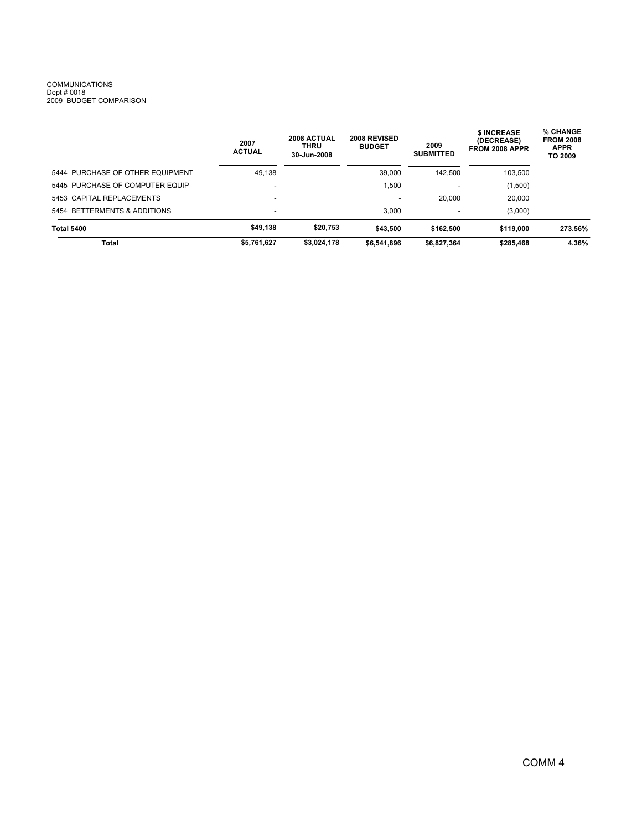# COMMUNICATIONS<br>Dept # 0018<br>2009 BUDGET COMPARISON

|                                  | 2007<br><b>ACTUAL</b>    | 2008 ACTUAL<br><b>THRU</b><br>30-Jun-2008 | 2008 REVISED<br><b>BUDGET</b> | 2009<br><b>SUBMITTED</b> | <b>\$INCREASE</b><br>(DECREASE)<br>FROM 2008 APPR | % CHANGE<br><b>FROM 2008</b><br><b>APPR</b><br>TO 2009 |
|----------------------------------|--------------------------|-------------------------------------------|-------------------------------|--------------------------|---------------------------------------------------|--------------------------------------------------------|
| 5444 PURCHASE OF OTHER EQUIPMENT | 49,138                   |                                           | 39,000                        | 142.500                  | 103,500                                           |                                                        |
| 5445 PURCHASE OF COMPUTER EQUIP  |                          |                                           | ,500                          |                          | (1,500)                                           |                                                        |
| 5453 CAPITAL REPLACEMENTS        | $\overline{\phantom{0}}$ |                                           | $\overline{\phantom{a}}$      | 20,000                   | 20,000                                            |                                                        |
| 5454 BETTERMENTS & ADDITIONS     | $\overline{\phantom{a}}$ |                                           | 3.000                         | $\overline{\phantom{a}}$ | (3,000)                                           |                                                        |
| <b>Total 5400</b>                | \$49,138                 | \$20.753                                  | \$43,500                      | \$162,500                | \$119,000                                         | 273.56%                                                |
| Total                            | \$5,761,627              | \$3,024,178                               | \$6,541,896                   | \$6,827,364              | \$285.468                                         | 4.36%                                                  |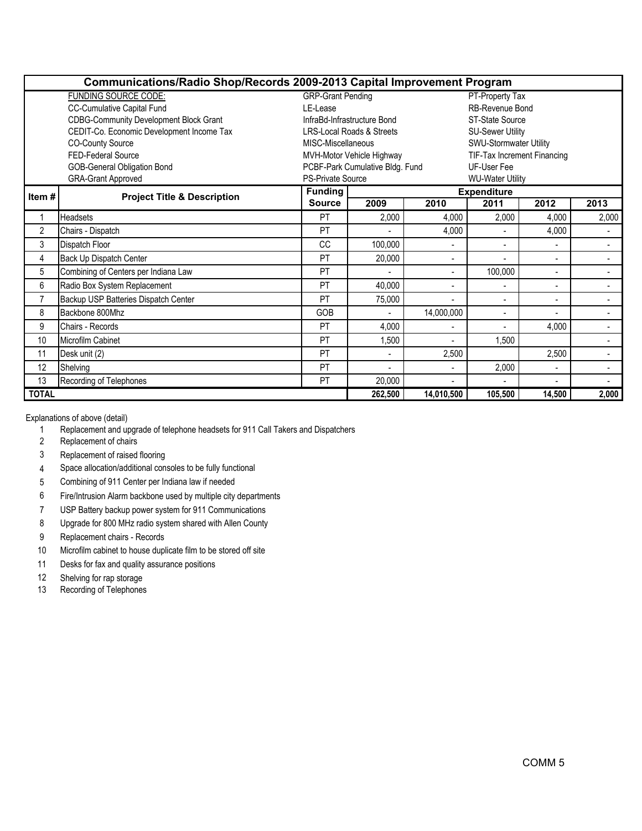|                                               | Communications/Radio Shop/Records 2009-2013 Capital Improvement Program |                                                       |                                                                 |                |                          |                          |                          |  |  |  |
|-----------------------------------------------|-------------------------------------------------------------------------|-------------------------------------------------------|-----------------------------------------------------------------|----------------|--------------------------|--------------------------|--------------------------|--|--|--|
|                                               | <b>FUNDING SOURCE CODE:</b>                                             | <b>GRP-Grant Pending</b><br>PT-Property Tax           |                                                                 |                |                          |                          |                          |  |  |  |
|                                               | CC-Cumulative Capital Fund                                              | <b>RB-Revenue Bond</b>                                |                                                                 |                |                          |                          |                          |  |  |  |
|                                               | <b>CDBG-Community Development Block Grant</b>                           | InfraBd-Infrastructure Bond<br><b>ST-State Source</b> |                                                                 |                |                          |                          |                          |  |  |  |
|                                               | CEDIT-Co. Economic Development Income Tax                               |                                                       | <b>LRS-Local Roads &amp; Streets</b><br><b>SU-Sewer Utility</b> |                |                          |                          |                          |  |  |  |
| <b>CO-County Source</b><br>MISC-Miscellaneous |                                                                         |                                                       | SWU-Stormwater Utility                                          |                |                          |                          |                          |  |  |  |
| FED-Federal Source                            |                                                                         |                                                       | MVH-Motor Vehicle Highway<br>TIF-Tax Increment Financing        |                |                          |                          |                          |  |  |  |
| GOB-General Obligation Bond                   |                                                                         |                                                       | PCBF-Park Cumulative Bldg. Fund                                 |                | UF-User Fee              |                          |                          |  |  |  |
|                                               | <b>GRA-Grant Approved</b>                                               | <b>PS-Private Source</b><br><b>WU-Water Utility</b>   |                                                                 |                |                          |                          |                          |  |  |  |
| Item#                                         | <b>Project Title &amp; Description</b>                                  | <b>Funding</b>                                        |                                                                 |                | <b>Expenditure</b>       |                          |                          |  |  |  |
|                                               |                                                                         | <b>Source</b>                                         | 2009                                                            | 2010           | 2011                     | 2012                     | 2013                     |  |  |  |
| 1                                             | <b>Headsets</b>                                                         | PT                                                    | 2,000                                                           | 4,000          | 2,000                    | 4,000                    | 2,000                    |  |  |  |
| $\overline{2}$                                | Chairs - Dispatch                                                       | PT                                                    |                                                                 | 4,000          | $\blacksquare$           | 4,000                    |                          |  |  |  |
| 3                                             | Dispatch Floor                                                          | CC                                                    | 100,000                                                         |                | $\blacksquare$           |                          |                          |  |  |  |
| 4                                             | Back Up Dispatch Center                                                 | PT                                                    | 20,000                                                          |                | $\overline{a}$           | $\overline{\phantom{a}}$ |                          |  |  |  |
| 5                                             | Combining of Centers per Indiana Law                                    | PT                                                    |                                                                 |                | 100,000                  | $\blacksquare$           | $\overline{\phantom{a}}$ |  |  |  |
| 6                                             | Radio Box System Replacement                                            | PT                                                    | 40,000                                                          |                | $\blacksquare$           |                          | $\blacksquare$           |  |  |  |
| $\overline{7}$                                | Backup USP Batteries Dispatch Center                                    | PT                                                    | 75,000                                                          | $\overline{a}$ | $\overline{\phantom{a}}$ | $\overline{\phantom{a}}$ | $\overline{\phantom{a}}$ |  |  |  |
| 8                                             | Backbone 800Mhz                                                         | GOB                                                   |                                                                 | 14,000,000     | $\blacksquare$           |                          | $\blacksquare$           |  |  |  |
| 9                                             | Chairs - Records                                                        | PT                                                    | 4,000                                                           |                | $\blacksquare$           | 4,000                    | $\overline{\phantom{0}}$ |  |  |  |
| 10                                            | Microfilm Cabinet                                                       | PT                                                    | 1.500                                                           |                | 1,500                    |                          | $\blacksquare$           |  |  |  |
| 11                                            | Desk unit (2)                                                           | PT                                                    |                                                                 | 2,500          |                          | 2,500                    |                          |  |  |  |
| 12                                            | Shelving                                                                | PT                                                    |                                                                 |                | 2,000                    | $\overline{a}$           | $\blacksquare$           |  |  |  |
| 13                                            | Recording of Telephones                                                 | PT                                                    | 20,000                                                          |                | $\blacksquare$           |                          |                          |  |  |  |
| <b>TOTAL</b>                                  |                                                                         |                                                       | 262,500                                                         | 14,010,500     | 105,500                  | 14,500                   | 2,000                    |  |  |  |

Explanations of above (detail)

- 1 Replacement and upgrade of telephone headsets for 911 Call Takers and Dispatchers
- 2 Replacement of chairs
- 3 Replacement of raised flooring
- 4 Space allocation/additional consoles to be fully functional
- 5 Combining of 911 Center per Indiana law if needed
- 6 Fire/Intrusion Alarm backbone used by multiple city departments
- 7 USP Battery backup power system for 911 Communications
- 8 Upgrade for 800 MHz radio system shared with Allen County
- 9 Replacement chairs Records
- 10 Microfilm cabinet to house duplicate film to be stored off site
- 11 Desks for fax and quality assurance positions
- 12 Shelving for rap storage
- 13 Recording of Telephones